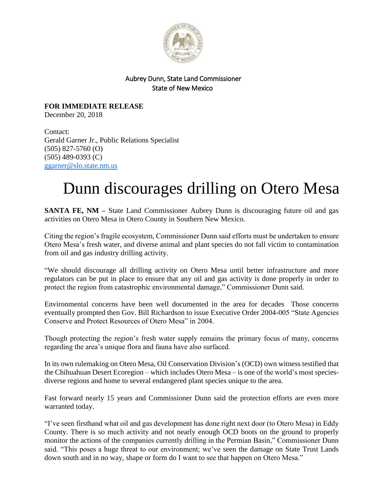

## Aubrey Dunn, State Land Commissioner State of New Mexico

**FOR IMMEDIATE RELEASE** December 20, 2018

Contact: Gerald Garner Jr., Public Relations Specialist (505) 827-5760 (O) (505) 489-0393 (C) [ggarner@slo.state.nm.us](mailto:ggarner@slo.state.nm.us)

## Dunn discourages drilling on Otero Mesa

**SANTA FE, NM** – State Land Commissioner Aubrey Dunn is discouraging future oil and gas activities on Otero Mesa in Otero County in Southern New Mexico.

Citing the region's fragile ecosystem, Commissioner Dunn said efforts must be undertaken to ensure Otero Mesa's fresh water, and diverse animal and plant species do not fall victim to contamination from oil and gas industry drilling activity.

"We should discourage all drilling activity on Otero Mesa until better infrastructure and more regulators can be put in place to ensure that any oil and gas activity is done properly in order to protect the region from catastrophic environmental damage," Commissioner Dunn said.

Environmental concerns have been well documented in the area for decades Those concerns eventually prompted then Gov. Bill Richardson to issue Executive Order 2004-005 "State Agencies Conserve and Protect Resources of Otero Mesa" in 2004.

Though protecting the region's fresh water supply remains the primary focus of many, concerns regarding the area's unique flora and fauna have also surfaced.

In its own rulemaking on Otero Mesa, Oil Conservation Division's (OCD) own witness testified that the Chihuahuan Desert Ecoregion – which includes Otero Mesa – is one of the world's most speciesdiverse regions and home to several endangered plant species unique to the area.

Fast forward nearly 15 years and Commissioner Dunn said the protection efforts are even more warranted today.

"I've seen firsthand what oil and gas development has done right next door (to Otero Mesa) in Eddy County. There is so much activity and not nearly enough OCD boots on the ground to properly monitor the actions of the companies currently drilling in the Permian Basin," Commissioner Dunn said. "This poses a huge threat to our environment; we've seen the damage on State Trust Lands down south and in no way, shape or form do I want to see that happen on Otero Mesa."